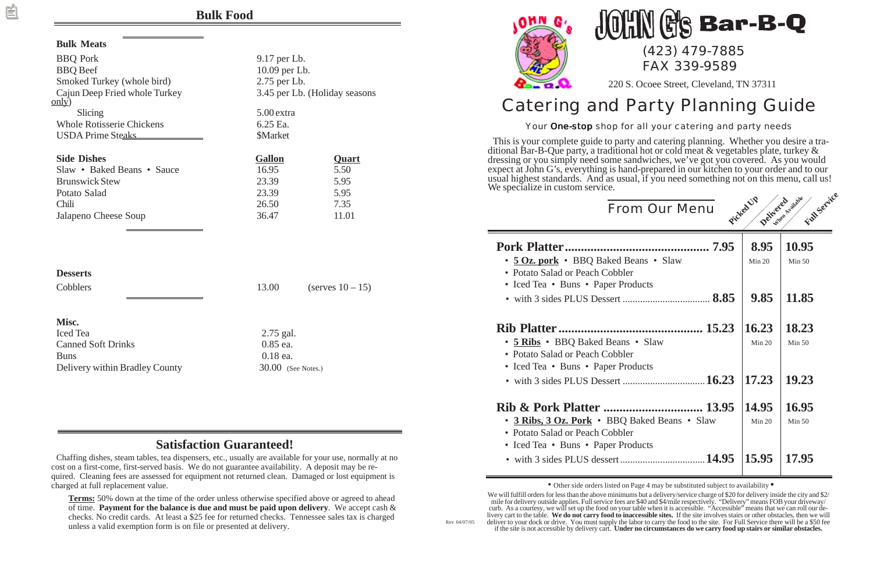Rev 04/07/05

| Our Menu                  | Picked UP       | Full Service<br>Detracteur scalaire |
|---------------------------|-----------------|-------------------------------------|
| 7.95<br>ns • Slaw         | 8.95<br>Min 20  | 10.95<br>Min 50                     |
| cts<br>8.85               | 9.85            | 11.85                               |
| 15.23<br>Slaw             | 16.23<br>Min 20 | 18.23<br>Min $50$                   |
| cts<br>16.23              | 17.23           | 19.23                               |
| 13.95<br>ked Beans • Slaw | 14.95<br>Min 20 | 16.95<br>Min 50                     |
| cts<br>14.95              | 15.95           | 17.95                               |

### **Bulk Food**

#### **Bulk Meats**

| <b>BBQ</b> Pork<br><b>BBQ</b> Beef<br>Smoked Turkey (whole bird)<br>Cajun Deep Fried whole Turkey<br>$\overline{\text{only}}$ |                                                            | 9.17 per Lb.<br>10.09 per Lb.<br>2.75 per Lb.<br>3.45 per Lb. (Holiday seasons |  |  |  |
|-------------------------------------------------------------------------------------------------------------------------------|------------------------------------------------------------|--------------------------------------------------------------------------------|--|--|--|
| Slicing<br><b>Whole Rotisserie Chickens</b><br><b>USDA Prime Steaks</b>                                                       | 5.00 extra<br>6.25 Ea.<br><b>\$Market</b>                  |                                                                                |  |  |  |
| <b>Side Dishes</b><br>Slaw • Baked Beans • Sauce<br><b>Brunswick Stew</b><br>Potato Salad<br>Chili<br>Jalapeno Cheese Soup    | <b>Gallon</b><br>16.95<br>23.39<br>23.39<br>26.50<br>36.47 | <b>Quart</b><br>5.50<br>5.95<br>5.95<br>7.35<br>11.01                          |  |  |  |
| <b>Desserts</b><br>Cobblers<br>Misc.                                                                                          | 13.00                                                      | (serves $10-15$ )                                                              |  |  |  |

Iced Tea 2.75 gal. Canned Soft Drinks 0.85 ea. Buns 0.18 ea. Delivery within Bradley County 30.00 (See Notes.)

# $\mathbf{\S}$  Bar-B-Q (423) 479-7885

# Catering and Party Planning Guide

220 S. Ocoee Street, Cleveland, TN 37311

#### Your One-stop shop for all your catering and party needs

FAX 339-9589

This is your complete guide to party and catering planning. Whether you desire a traditional Bar-B-Que party, a traditional hot or cold meat & vegetables plate, turkey & dressing or you simply need some sandwiches, we've got you covered. As you would expect at John G's, everything is hand-prepared in our kitchen to your order and to our usual highest standards. And as usual, if you need something not on this menu, call us! We specialize in custom service.

From

#### **Pork Platter.......................**

- **5 Oz. pork** BBO Baked Bean
- Potato Salad or Peach Cobbler
- Iced Tea Buns Paper Produ
- with 3 sides PLUS Dessert ........

#### **Rib Platter ...........................**

- 5 Ribs BBQ Baked Beans •
- Potato Salad or Peach Cobbler
- Iced Tea Buns Paper Product
- with 3 sides PLUS Dessert ........

#### **Rib & Pork Platter ............................... 13.95 14.95 16.95**

- 3 Ribs, 3 Oz. Pork BBQ Ba
- Potato Salad or Peach Cobbler
- Iced Tea Buns Paper Produ
- with 3 sides PLUS dessert.........

• Other side orders listed on Page 4 may be substituted subject to availability **•**

### **Satisfaction Guaranteed!**

Chaffing dishes, steam tables, tea dispensers, etc., usually are available for your use, normally at no cost on a first-come, first-served basis. We do not guarantee availability. A deposit may be required. Cleaning fees are assessed for equipment not returned clean. Damaged or lost equipment is charged at full replacement value.

**Terms:** 50% down at the time of the order unless otherwise specified above or agreed to ahead of time. **Payment for the balance is due and must be paid upon delivery**. We accept cash & checks. No credit cards. At least a \$25 fee for returned checks. Tennessee sales tax is charged unless a valid exemption form is on file or presented at delivery.





We will fulfill orders for less than the above minimums but a delivery/service charge of \$20 for delivery inside the city and \$2/ mile for delivery outside applies. Full service fees are \$40 and \$4/mile respectively. "Delivery" means FOB your driveway/ curb. As a courtesy, we will set up the food on your table when it is accessible. "Accessible" means that we can roll our delivery cart to the table. **We do not carry food to inaccessible sites.** If the site involves stairs or other obstacles, then we will deliver to your dock or drive. You must supply the labor to carry the food to the site. For Full Service there will be a \$50 fee if the site is not accessible by delivery cart. **Under no circumstances do we carry food up stairs or similar obstacles.**